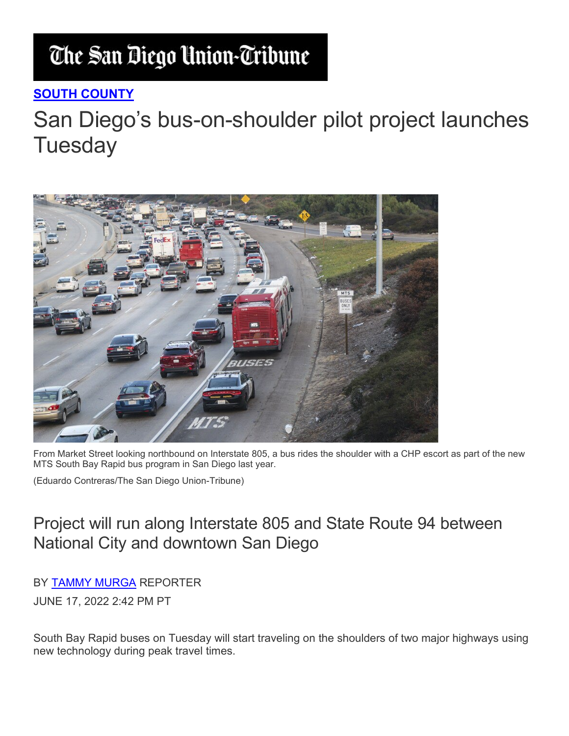## The San Diego Union-Tribune

## **SOUTH [COUNTY](https://www.sandiegouniontribune.com/communities/south-county)**

## San Diego's bus-on-shoulder pilot project launches **Tuesday**



From Market Street looking northbound on Interstate 805, a bus rides the shoulder with a CHP escort as part of the new MTS South Bay Rapid bus program in San Diego last year.

(Eduardo Contreras/The San Diego Union-Tribune)

## Project will run along Interstate 805 and State Route 94 between National City and downtown San Diego

BY [TAMMY MURGA](https://www.sandiegouniontribune.com/people/tammy-murga) REPORTER

JUNE 17, 2022 2:42 PM PT

South Bay Rapid buses on Tuesday will start traveling on the shoulders of two major highways using new technology during peak travel times.